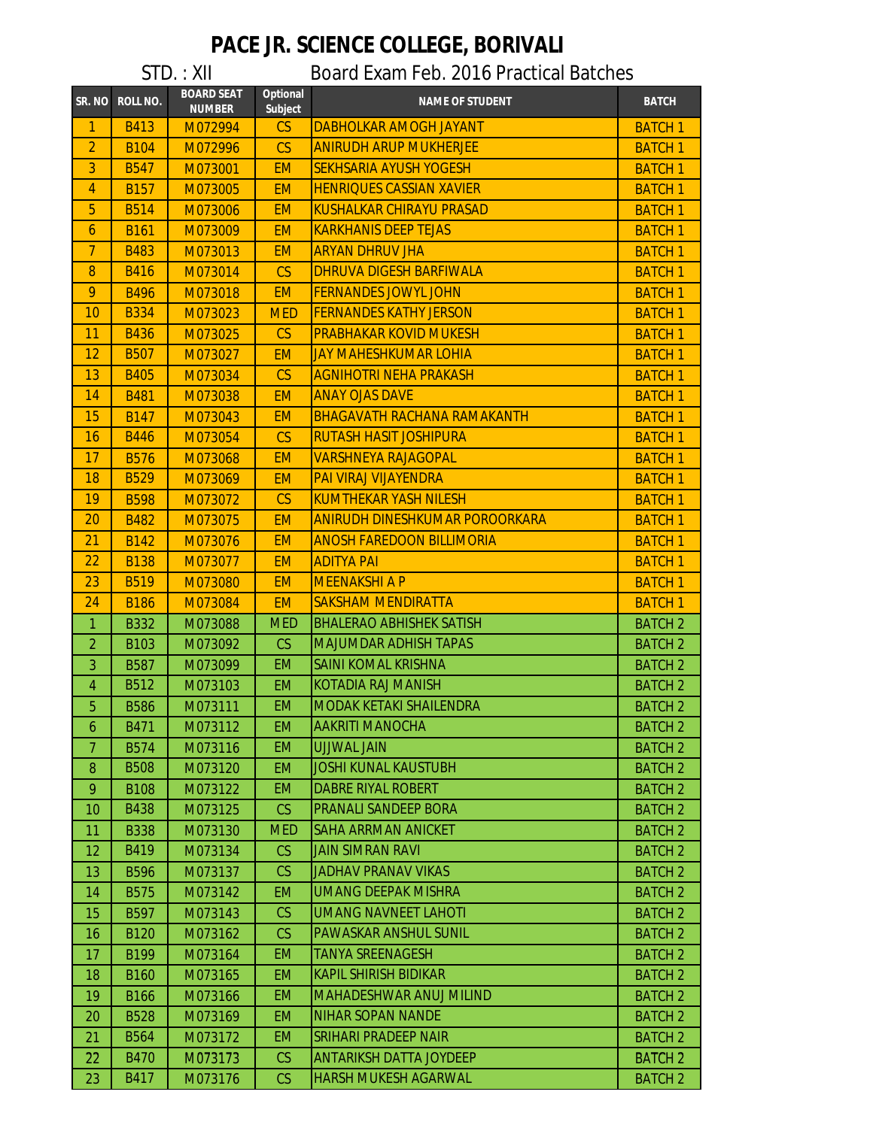| SR. NO         | ROLL NO.    | <b>BOARD SEAT</b><br><b>NUMBER</b> | <b>Optional</b><br>Subject | <b>NAME OF STUDENT</b>                | <b>BATCH</b>   |
|----------------|-------------|------------------------------------|----------------------------|---------------------------------------|----------------|
| $\mathbf{1}$   | <b>B413</b> | M072994                            | CS                         | DABHOLKAR AMOGH JAYANT                | <b>BATCH1</b>  |
| $\overline{2}$ | <b>B104</b> | M072996                            | CS                         | <b>ANIRUDH ARUP MUKHERJEE</b>         | <b>BATCH1</b>  |
| 3              | <b>B547</b> | M073001                            | <b>EM</b>                  | <b>SEKHSARIA AYUSH YOGESH</b>         | <b>BATCH1</b>  |
| $\overline{4}$ | <b>B157</b> | M073005                            | <b>EM</b>                  | <b>HENRIQUES CASSIAN XAVIER</b>       | <b>BATCH1</b>  |
| 5              | <b>B514</b> | M073006                            | <b>EM</b>                  | <b>KUSHALKAR CHIRAYU PRASAD</b>       | <b>BATCH1</b>  |
| $\mathbf{6}$   | <b>B161</b> | M073009                            | <b>EM</b>                  | <b>KARKHANIS DEEP TEJAS</b>           | <b>BATCH1</b>  |
| $\overline{7}$ | <b>B483</b> | M073013                            | <b>EM</b>                  | <b>ARYAN DHRUV JHA</b>                | <b>BATCH1</b>  |
| 8              | <b>B416</b> | M073014                            | CS                         | <b>DHRUVA DIGESH BARFIWALA</b>        | <b>BATCH1</b>  |
| 9              | <b>B496</b> | M073018                            | <b>EM</b>                  | <b>FERNANDES JOWYL JOHN</b>           | <b>BATCH1</b>  |
| 10             | <b>B334</b> | M073023                            | <b>MED</b>                 | <b>FERNANDES KATHY JERSON</b>         | <b>BATCH1</b>  |
| 11             | <b>B436</b> | M073025                            | CS                         | <b>PRABHAKAR KOVID MUKESH</b>         | <b>BATCH1</b>  |
| 12             | <b>B507</b> | M073027                            | <b>EM</b>                  | <b>JAY MAHESHKUMAR LOHIA</b>          | <b>BATCH1</b>  |
| 13             | <b>B405</b> | M073034                            | CS                         | <b>AGNIHOTRI NEHA PRAKASH</b>         | <b>BATCH1</b>  |
| 14             | <b>B481</b> | M073038                            | <b>EM</b>                  | <b>ANAY OJAS DAVE</b>                 | <b>BATCH1</b>  |
| 15             | <b>B147</b> | M073043                            | <b>EM</b>                  | <b>BHAGAVATH RACHANA RAMAKANTH</b>    | <b>BATCH1</b>  |
| 16             | <b>B446</b> | M073054                            | CS                         | <b>RUTASH HASIT JOSHIPURA</b>         | <b>BATCH1</b>  |
| 17             | <b>B576</b> | M073068                            | <b>EM</b>                  | <b>VARSHNEYA RAJAGOPAL</b>            | <b>BATCH1</b>  |
| 18             | <b>B529</b> | M073069                            | <b>EM</b>                  | <b>PAI VIRAJ VIJAYENDRA</b>           | <b>BATCH1</b>  |
| 19             | <b>B598</b> | M073072                            | CS                         | <b>KUMTHEKAR YASH NILESH</b>          | <b>BATCH1</b>  |
| 20             | <b>B482</b> | M073075                            | <b>EM</b>                  | <b>ANIRUDH DINESHKUMAR POROORKARA</b> | <b>BATCH1</b>  |
| 21             | <b>B142</b> | M073076                            | <b>EM</b>                  | <b>ANOSH FAREDOON BILLIMORIA</b>      | <b>BATCH1</b>  |
| 22             | <b>B138</b> | M073077                            | <b>EM</b>                  | <b>ADITYA PAI</b>                     | <b>BATCH1</b>  |
| 23             | <b>B519</b> | M073080                            | <b>EM</b>                  | <b>MEENAKSHI A P</b>                  | <b>BATCH1</b>  |
| 24             | <b>B186</b> | M073084                            | <b>EM</b>                  | <b>SAKSHAM MENDIRATTA</b>             | <b>BATCH1</b>  |
| 1              | <b>B332</b> | M073088                            | <b>MED</b>                 | <b>BHALERAO ABHISHEK SATISH</b>       | <b>BATCH 2</b> |
| $\overline{2}$ | <b>B103</b> | M073092                            | CS                         | <b>MAJUMDAR ADHISH TAPAS</b>          | <b>BATCH 2</b> |
| 3              | <b>B587</b> | M073099                            | <b>EM</b>                  | <b>SAINI KOMAL KRISHNA</b>            | <b>BATCH 2</b> |
| $\overline{4}$ | <b>B512</b> | M073103                            | <b>EM</b>                  | <b>KOTADIA RAJ MANISH</b>             | <b>BATCH 2</b> |
| 5              | <b>B586</b> | M073111                            | <b>EM</b>                  | MODAK KETAKI SHAILENDRA               | <b>BATCH 2</b> |
| $\overline{6}$ | <b>B471</b> | M073112                            | <b>EM</b>                  | <b>AAKRITI MANOCHA</b>                | <b>BATCH 2</b> |
| $\overline{7}$ | <b>B574</b> | M073116                            | <b>EM</b>                  | <b>UJJWAL JAIN</b>                    | <b>BATCH 2</b> |
| $\, 8$         | <b>B508</b> | M073120                            | <b>EM</b>                  | <b>JOSHI KUNAL KAUSTUBH</b>           | <b>BATCH 2</b> |
| 9              | <b>B108</b> | M073122                            | <b>EM</b>                  | <b>DABRE RIYAL ROBERT</b>             | <b>BATCH 2</b> |
| 10             | <b>B438</b> | M073125                            | CS                         | <b>PRANALI SANDEEP BORA</b>           | <b>BATCH 2</b> |
| 11             | <b>B338</b> | M073130                            | <b>MED</b>                 | SAHA ARRMAN ANICKET                   | <b>BATCH 2</b> |
| 12             | B419        | M073134                            | CS                         | <b>JAIN SIMRAN RAVI</b>               | <b>BATCH 2</b> |
| 13             | <b>B596</b> | M073137                            | <b>CS</b>                  | <b>JADHAV PRANAV VIKAS</b>            | <b>BATCH 2</b> |
| 14             | <b>B575</b> | M073142                            | <b>EM</b>                  | <b>UMANG DEEPAK MISHRA</b>            | <b>BATCH 2</b> |
| 15             | B597        | M073143                            | CS                         | <b>UMANG NAVNEET LAHOTI</b>           | <b>BATCH 2</b> |
| 16             | <b>B120</b> | M073162                            | <b>CS</b>                  | PAWASKAR ANSHUL SUNIL                 | <b>BATCH 2</b> |
| 17             | B199        | M073164                            | <b>EM</b>                  | <b>TANYA SREENAGESH</b>               | <b>BATCH 2</b> |
| 18             | <b>B160</b> | M073165                            | <b>EM</b>                  | <b>KAPIL SHIRISH BIDIKAR</b>          | <b>BATCH 2</b> |
| 19             | <b>B166</b> | M073166                            | <b>EM</b>                  | <b>MAHADESHWAR ANUJ MILIND</b>        | <b>BATCH 2</b> |
| 20             | <b>B528</b> | M073169                            | <b>EM</b>                  | NIHAR SOPAN NANDE                     | <b>BATCH 2</b> |
| 21             | <b>B564</b> | M073172                            | <b>EM</b>                  | SRIHARI PRADEEP NAIR                  | <b>BATCH 2</b> |
| 22             | <b>B470</b> | M073173                            | CS                         | <b>ANTARIKSH DATTA JOYDEEP</b>        | <b>BATCH 2</b> |
| 23             | B417        | M073176                            | CS                         | <b>HARSH MUKESH AGARWAL</b>           | <b>BATCH 2</b> |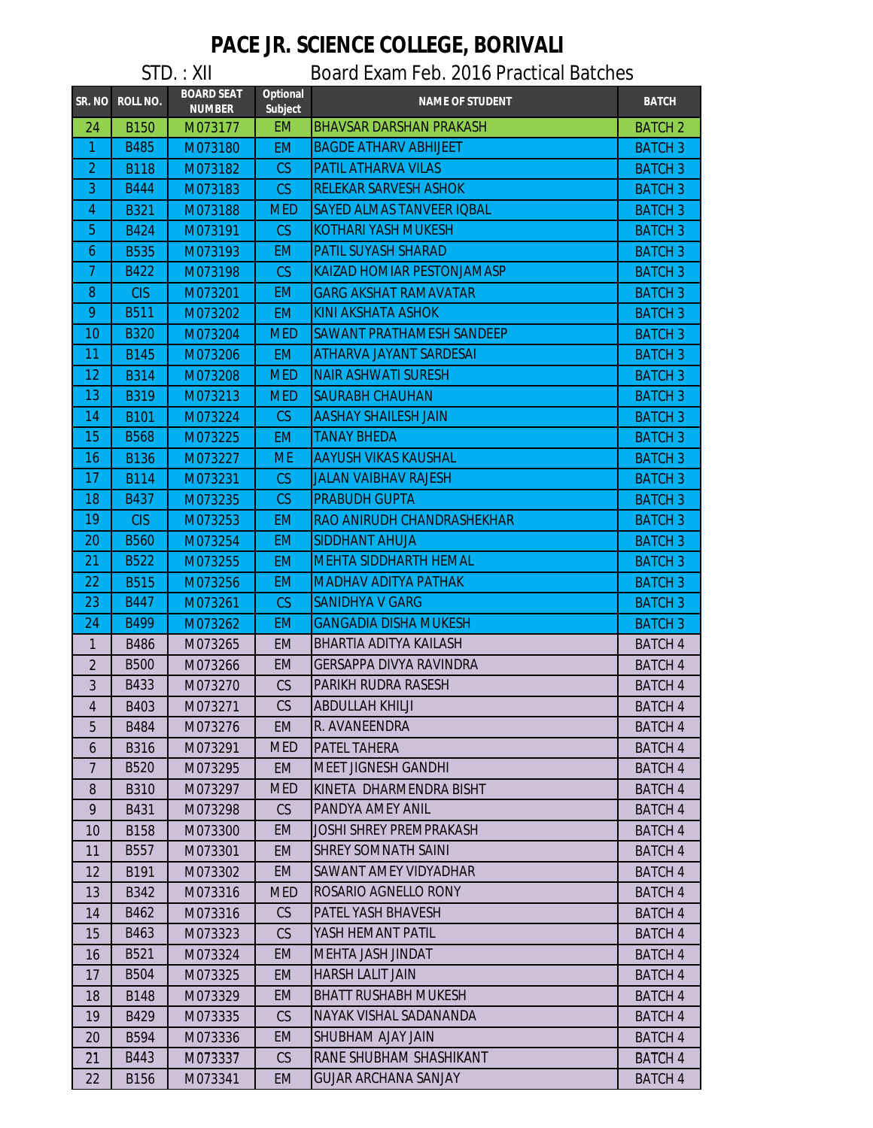| SR. NO           | <b>ROLL NO.</b> | <b>BOARD SEAT</b><br><b>NUMBER</b> | <b>Optional</b><br>Subject | <b>NAME OF STUDENT</b>            | <b>BATCH</b>   |
|------------------|-----------------|------------------------------------|----------------------------|-----------------------------------|----------------|
| 24               | <b>B150</b>     | M073177                            | <b>EM</b>                  | <b>BHAVSAR DARSHAN PRAKASH</b>    | <b>BATCH 2</b> |
| $\mathbf{1}$     | <b>B485</b>     | M073180                            | <b>EM</b>                  | <b>BAGDE ATHARV ABHIJEET</b>      | <b>BATCH 3</b> |
| $\overline{2}$   | <b>B118</b>     | M073182                            | CS                         | <b>PATIL ATHARVA VILAS</b>        | <b>BATCH 3</b> |
| 3                | <b>B444</b>     | M073183                            | CS                         | <b>RELEKAR SARVESH ASHOK</b>      | <b>BATCH 3</b> |
| 4                | <b>B321</b>     | M073188                            | <b>MED</b>                 | <b>SAYED ALMAS TANVEER IQBAL</b>  | <b>BATCH 3</b> |
| 5                | <b>B424</b>     | M073191                            | <b>CS</b>                  | <b>KOTHARI YASH MUKESH</b>        | <b>BATCH 3</b> |
| $\boldsymbol{6}$ | <b>B535</b>     | M073193                            | <b>EM</b>                  | <b>PATIL SUYASH SHARAD</b>        | <b>BATCH 3</b> |
| $\overline{7}$   | <b>B422</b>     | M073198                            | CS                         | <b>KAIZAD HOMIAR PESTONJAMASP</b> | <b>BATCH 3</b> |
| $\boldsymbol{8}$ | <b>CIS</b>      | M073201                            | <b>EM</b>                  | <b>GARG AKSHAT RAMAVATAR</b>      | <b>BATCH 3</b> |
| 9                | <b>B511</b>     | M073202                            | <b>EM</b>                  | <b>KINI AKSHATA ASHOK</b>         | <b>BATCH 3</b> |
| 10               | <b>B320</b>     | M073204                            | <b>MED</b>                 | <b>SAWANT PRATHAMESH SANDEEP</b>  | <b>BATCH 3</b> |
| 11               | <b>B145</b>     | M073206                            | <b>EM</b>                  | <b>ATHARVA JAYANT SARDESAI</b>    | <b>BATCH 3</b> |
| 12               | <b>B314</b>     | M073208                            | <b>MED</b>                 | <b>NAIR ASHWATI SURESH</b>        | <b>BATCH 3</b> |
| 13               | <b>B319</b>     | M073213                            | <b>MED</b>                 | <b>SAURABH CHAUHAN</b>            | <b>BATCH 3</b> |
| 14               | B101            | M073224                            | CS                         | <b>AASHAY SHAILESH JAIN</b>       | <b>BATCH 3</b> |
| 15               | <b>B568</b>     | M073225                            | <b>EM</b>                  | TANAY BHEDA                       | <b>BATCH 3</b> |
| 16               | <b>B136</b>     | M073227                            | <b>ME</b>                  | <b>AAYUSH VIKAS KAUSHAL</b>       | <b>BATCH 3</b> |
| 17               | <b>B114</b>     | M073231                            | CS                         | <b>JALAN VAIBHAV RAJESH</b>       | <b>BATCH 3</b> |
| 18               | <b>B437</b>     | M073235                            | CS                         | <b>PRABUDH GUPTA</b>              | <b>BATCH 3</b> |
| 19               | <b>CIS</b>      | M073253                            | <b>EM</b>                  | RAO ANIRUDH CHANDRASHEKHAR        | <b>BATCH 3</b> |
| 20               | <b>B560</b>     | M073254                            | <b>EM</b>                  | <b>SIDDHANT AHUJA</b>             | <b>BATCH 3</b> |
| 21               | <b>B522</b>     | M073255                            | <b>EM</b>                  | <b>MEHTA SIDDHARTH HEMAL</b>      | <b>BATCH 3</b> |
| 22               | <b>B515</b>     | M073256                            | <b>EM</b>                  | <b>MADHAV ADITYA PATHAK</b>       | <b>BATCH 3</b> |
| 23               | <b>B447</b>     | M073261                            | CS                         | <b>SANIDHYA V GARG</b>            | <b>BATCH 3</b> |
| 24               | <b>B499</b>     | M073262                            | <b>EM</b>                  | GANGADIA DISHA MUKESH             | <b>BATCH 3</b> |
| $\mathbf{1}$     | <b>B486</b>     | M073265                            | <b>EM</b>                  | <b>BHARTIA ADITYA KAILASH</b>     | <b>BATCH 4</b> |
| $\overline{2}$   | <b>B500</b>     | M073266                            | <b>EM</b>                  | <b>GERSAPPA DIVYA RAVINDRA</b>    | <b>BATCH 4</b> |
| $\mathfrak{Z}$   | B433            | M073270                            | CS                         | PARIKH RUDRA RASESH               | <b>BATCH 4</b> |
| 4                | B403            | M073271                            | CS                         | <b>ABDULLAH KHILJI</b>            | <b>BATCH 4</b> |
| b                | B484            | M073276                            | EM.                        | R. AVANEENDRA                     | <b>BATCH 4</b> |
| 6                | <b>B316</b>     | M073291                            | <b>MED</b>                 | <b>PATEL TAHERA</b>               | <b>BATCH 4</b> |
| $\overline{7}$   | <b>B520</b>     | M073295                            | <b>EM</b>                  | MEET JIGNESH GANDHI               | <b>BATCH 4</b> |
| 8                | <b>B310</b>     | M073297                            | <b>MED</b>                 | KINETA DHARMENDRA BISHT           | <b>BATCH 4</b> |
| 9                | B431            | M073298                            | CS                         | PANDYA AMEY ANIL                  | <b>BATCH 4</b> |
| 10 <sup>°</sup>  | <b>B158</b>     | M073300                            | <b>EM</b>                  | <b>JOSHI SHREY PREMPRAKASH</b>    | <b>BATCH 4</b> |
| 11               | B557            | M073301                            | <b>EM</b>                  | <b>SHREY SOMNATH SAINI</b>        | <b>BATCH 4</b> |
| 12               | B191            | M073302                            | <b>EM</b>                  | SAWANT AMEY VIDYADHAR             | <b>BATCH 4</b> |
| 13               | <b>B342</b>     | M073316                            | <b>MED</b>                 | ROSARIO AGNELLO RONY              | <b>BATCH 4</b> |
| 14               | B462            | M073316                            | CS                         | PATEL YASH BHAVESH                | <b>BATCH 4</b> |
| 15               | B463            | M073323                            | CS                         | YASH HEMANT PATIL                 | <b>BATCH 4</b> |
| 16               | B521            | M073324                            | <b>EM</b>                  | MEHTA JASH JINDAT                 | <b>BATCH 4</b> |
| 17               | <b>B504</b>     | M073325                            | <b>EM</b>                  | HARSH LALIT JAIN                  | <b>BATCH 4</b> |
| 18               | <b>B148</b>     | M073329                            | <b>EM</b>                  | <b>BHATT RUSHABH MUKESH</b>       | <b>BATCH 4</b> |
| 19               | B429            | M073335                            | CS                         | NAYAK VISHAL SADANANDA            | <b>BATCH 4</b> |
| 20               | B594            | M073336                            | EM.                        | SHUBHAM AJAY JAIN                 | <b>BATCH 4</b> |
| 21               | B443            | M073337                            | CS                         | RANE SHUBHAM SHASHIKANT           | <b>BATCH 4</b> |
| 22               | B156            | M073341                            | <b>EM</b>                  | <b>GUJAR ARCHANA SANJAY</b>       | <b>BATCH 4</b> |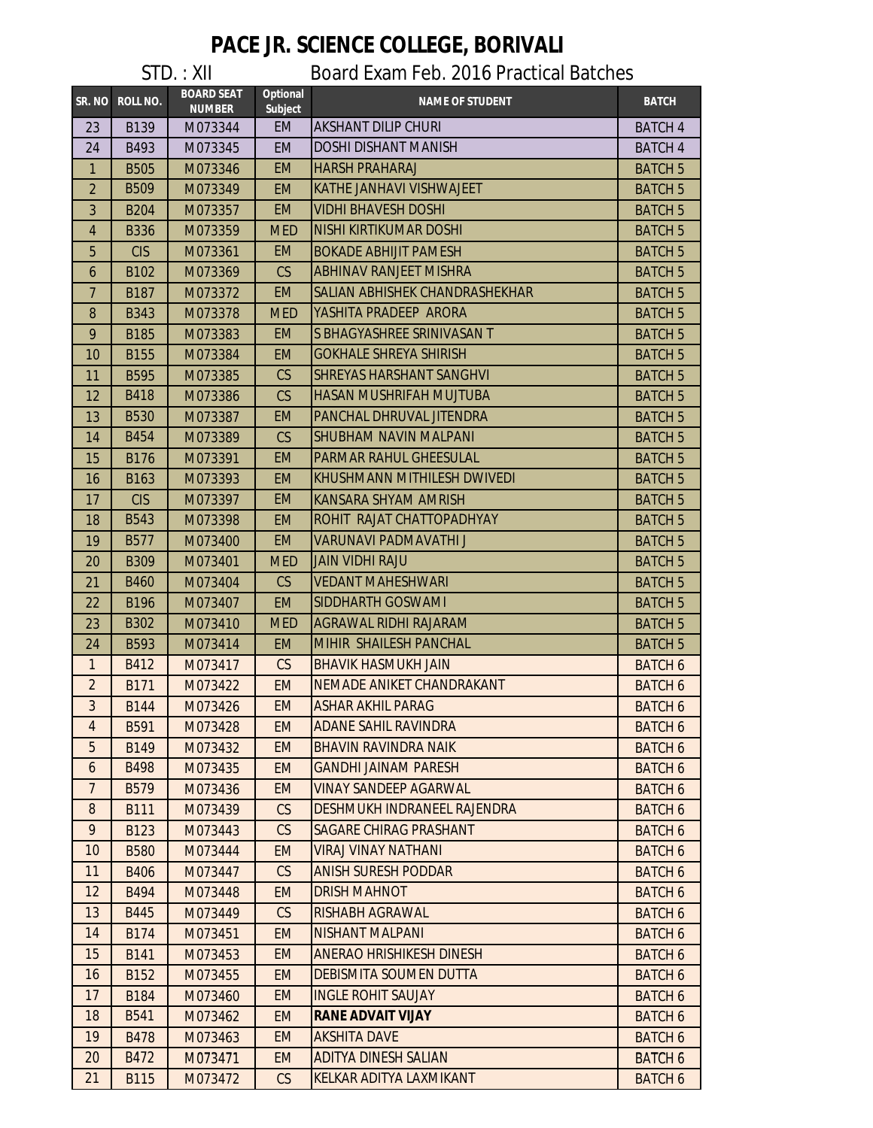| SR. NO         | <b>ROLL NO.</b>  | <b>BOARD SEAT</b><br><b>NUMBER</b> | <b>Optional</b><br>Subject | <b>NAME OF STUDENT</b>          | <b>BATCH</b>   |
|----------------|------------------|------------------------------------|----------------------------|---------------------------------|----------------|
| 23             | B139             | M073344                            | <b>EM</b>                  | <b>AKSHANT DILIP CHURI</b>      | <b>BATCH 4</b> |
| 24             | B493             | M073345                            | <b>EM</b>                  | <b>DOSHI DISHANT MANISH</b>     | <b>BATCH 4</b> |
| $\mathbf{1}$   | <b>B505</b>      | M073346                            | <b>EM</b>                  | <b>HARSH PRAHARAJ</b>           | <b>BATCH 5</b> |
| $\overline{2}$ | <b>B509</b>      | M073349                            | <b>EM</b>                  | KATHE JANHAVI VISHWAJFFT        | <b>BATCH 5</b> |
| $\mathfrak{Z}$ | <b>B204</b>      | M073357                            | <b>EM</b>                  | <b>VIDHI BHAVESH DOSHI</b>      | <b>BATCH 5</b> |
| 4              | <b>B336</b>      | M073359                            | <b>MED</b>                 | NISHI KIRTIKUMAR DOSHI          | <b>BATCH 5</b> |
| 5              | <b>CIS</b>       | M073361                            | <b>EM</b>                  | <b>BOKADE ABHIJIT PAMESH</b>    | <b>BATCH 5</b> |
| 6              | B102             | M073369                            | CS                         | <b>ABHINAV RANJEET MISHRA</b>   | <b>BATCH 5</b> |
| $\overline{7}$ | <b>B187</b>      | M073372                            | <b>EM</b>                  | SALIAN ABHISHEK CHANDRASHEKHAR  | <b>BATCH 5</b> |
| $\, 8$         | <b>B343</b>      | M073378                            | <b>MED</b>                 | YASHITA PRADEEP ARORA           | <b>BATCH 5</b> |
| 9              | <b>B185</b>      | M073383                            | <b>EM</b>                  | S BHAGYASHREE SRINIVASAN T      | <b>BATCH 5</b> |
| 10             | <b>B155</b>      | M073384                            | <b>EM</b>                  | <b>GOKHALE SHREYA SHIRISH</b>   | <b>BATCH 5</b> |
| 11             | <b>B595</b>      | M073385                            | CS                         | <b>SHREYAS HARSHANT SANGHVI</b> | <b>BATCH 5</b> |
| 12             | <b>B418</b>      | M073386                            | CS                         | HASAN MUSHRIFAH MUJTUBA         | <b>BATCH 5</b> |
| 13             | <b>B530</b>      | M073387                            | <b>EM</b>                  | PANCHAL DHRUVAL JITENDRA        | <b>BATCH 5</b> |
| 14             | <b>B454</b>      | M073389                            | CS                         | <b>SHUBHAM NAVIN MALPANI</b>    | <b>BATCH 5</b> |
| 15             | <b>B176</b>      | M073391                            | <b>EM</b>                  | PARMAR RAHUL GHEESULAL          | <b>BATCH 5</b> |
| 16             | B163             | M073393                            | <b>EM</b>                  | KHUSHMANN MITHILESH DWIVEDI     | <b>BATCH 5</b> |
| 17             | <b>CIS</b>       | M073397                            | <b>EM</b>                  | KANSARA SHYAM AMRISH            | <b>BATCH 5</b> |
| 18             | <b>B543</b>      | M073398                            | <b>EM</b>                  | ROHIT RAJAT CHATTOPADHYAY       | <b>BATCH 5</b> |
| 19             | <b>B577</b>      | M073400                            | <b>EM</b>                  | VARUNAVI PADMAVATHI J           | <b>BATCH 5</b> |
| 20             | <b>B309</b>      | M073401                            | <b>MED</b>                 | <b>JAIN VIDHI RAJU</b>          | <b>BATCH 5</b> |
| 21             | <b>B460</b>      | M073404                            | CS                         | <b>VEDANT MAHESHWARI</b>        | <b>BATCH 5</b> |
| 22             | <b>B196</b>      | M073407                            | <b>EM</b>                  | SIDDHARTH GOSWAMI               | <b>BATCH 5</b> |
| 23             | <b>B302</b>      | M073410                            | <b>MED</b>                 | <b>AGRAWAL RIDHI RAJARAM</b>    | <b>BATCH 5</b> |
| 24             | <b>B593</b>      | M073414                            | <b>EM</b>                  | MIHIR SHAILESH PANCHAL          | <b>BATCH 5</b> |
| $\mathbf{1}$   | B412             | M073417                            | CS                         | <b>BHAVIK HASMUKH JAIN</b>      | <b>BATCH 6</b> |
| $\overline{2}$ | <b>B171</b>      | M073422                            | <b>EM</b>                  | NEMADE ANIKET CHANDRAKANT       | <b>BATCH 6</b> |
| 3              | <b>B144</b>      | M073426                            | <b>EM</b>                  | <b>ASHAR AKHIL PARAG</b>        | <b>BATCH 6</b> |
| 4              | B591             | M073428                            | ЕM.                        | <b>ADANE SAHIL RAVINDRA</b>     | BATCH 6        |
| 5              | <b>B149</b>      | M073432                            | <b>EM</b>                  | <b>BHAVIN RAVINDRA NAIK</b>     | <b>BATCH 6</b> |
| 6              | <b>B498</b>      | M073435                            | <b>EM</b>                  | <b>GANDHI JAINAM PARESH</b>     | <b>BATCH 6</b> |
| $\overline{7}$ | B <sub>579</sub> | M073436                            | <b>EM</b>                  | <b>VINAY SANDEEP AGARWAL</b>    | <b>BATCH 6</b> |
| $8\,$          | <b>B111</b>      | M073439                            | CS                         | DESHMUKH INDRANEEL RAJENDRA     | <b>BATCH 6</b> |
| 9              | <b>B123</b>      | M073443                            | CS                         | SAGARE CHIRAG PRASHANT          | <b>BATCH 6</b> |
| 10             | <b>B580</b>      | M073444                            | <b>EM</b>                  | <b>VIRAJ VINAY NATHANI</b>      | <b>BATCH 6</b> |
| 11             | <b>B406</b>      | M073447                            | CS                         | <b>ANISH SURESH PODDAR</b>      | <b>BATCH 6</b> |
| 12             | <b>B494</b>      | M073448                            | <b>EM</b>                  | <b>DRISH MAHNOT</b>             | <b>BATCH 6</b> |
| 13             | B445             | M073449                            | CS                         | <b>RISHABH AGRAWAL</b>          | <b>BATCH 6</b> |
| 14             | B174             | M073451                            | <b>EM</b>                  | <b>NISHANT MALPANI</b>          | <b>BATCH 6</b> |
| 15             | <b>B141</b>      | M073453                            | <b>EM</b>                  | <b>ANERAO HRISHIKESH DINESH</b> | <b>BATCH 6</b> |
| 16             | B <sub>152</sub> | M073455                            | <b>EM</b>                  | DEBISMITA SOUMEN DUTTA          | <b>BATCH 6</b> |
| 17             | <b>B184</b>      | M073460                            | <b>EM</b>                  | <b>INGLE ROHIT SAUJAY</b>       | <b>BATCH 6</b> |
| 18             | B541             | M073462                            | <b>EM</b>                  | <b>RANE ADVAIT VIJAY</b>        | <b>BATCH 6</b> |
| 19             | <b>B478</b>      | M073463                            | <b>EM</b>                  | <b>AKSHITA DAVE</b>             | <b>BATCH 6</b> |
| 20             | B472             | M073471                            | <b>EM</b>                  | <b>ADITYA DINESH SALIAN</b>     | <b>BATCH 6</b> |
| 21             | <b>B115</b>      | M073472                            | CS                         | KELKAR ADITYA LAXMIKANT         | <b>BATCH 6</b> |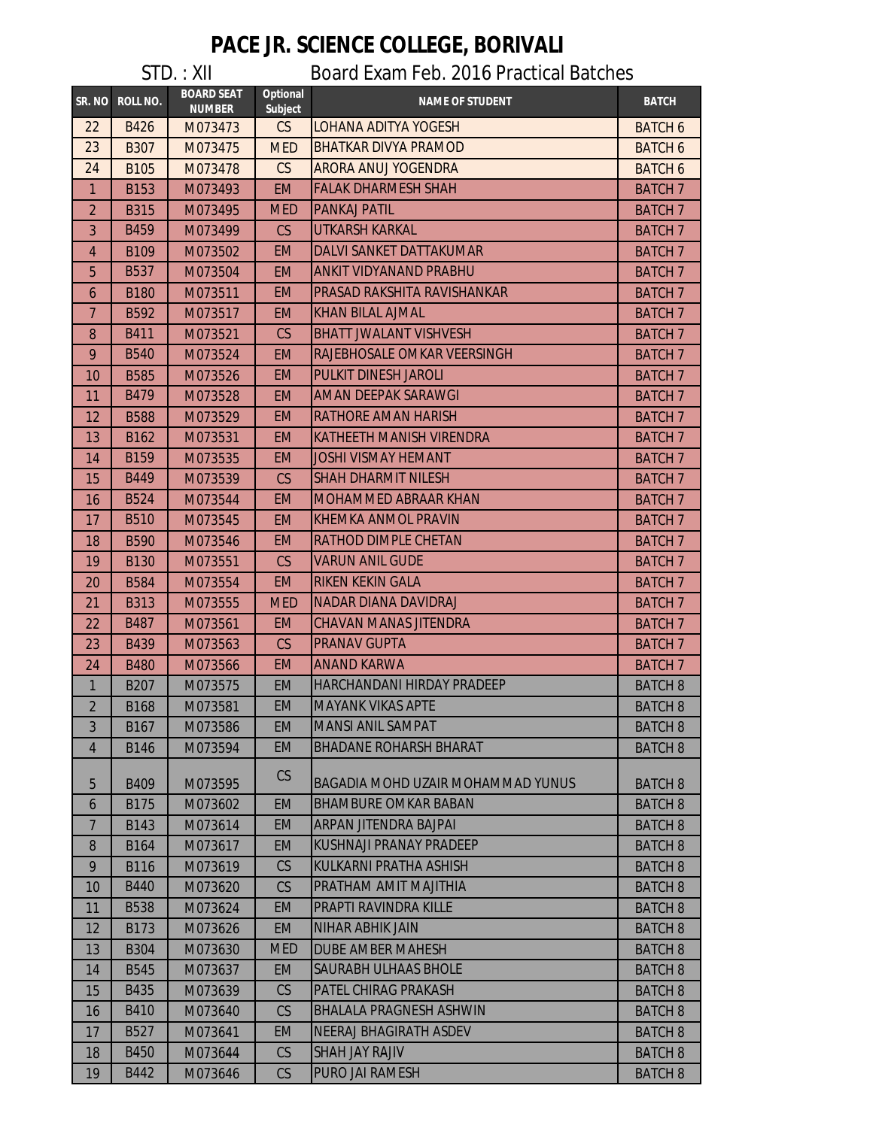| SR. NO         | ROLL NO.    | <b>BOARD SEAT</b><br><b>NUMBER</b> | <b>Optional</b><br><b>Subject</b> | <b>NAME OF STUDENT</b>                   | <b>BATCH</b>   |
|----------------|-------------|------------------------------------|-----------------------------------|------------------------------------------|----------------|
| 22             | <b>B426</b> | M073473                            | CS                                | <b>LOHANA ADITYA YOGESH</b>              | <b>BATCH 6</b> |
| 23             | <b>B307</b> | M073475                            | <b>MED</b>                        | <b>BHATKAR DIVYA PRAMOD</b>              | <b>BATCH 6</b> |
| 24             | <b>B105</b> | M073478                            | CS                                | ARORA ANUJ YOGENDRA                      | <b>BATCH 6</b> |
| $\mathbf{1}$   | <b>B153</b> | M073493                            | <b>EM</b>                         | <b>FALAK DHARMESH SHAH</b>               | <b>BATCH 7</b> |
| $\overline{2}$ | <b>B315</b> | M073495                            | <b>MED</b>                        | <b>PANKAJ PATIL</b>                      | <b>BATCH 7</b> |
| 3              | <b>B459</b> | M073499                            | <b>CS</b>                         | <b>UTKARSH KARKAL</b>                    | <b>BATCH 7</b> |
| $\overline{4}$ | B109        | M073502                            | <b>EM</b>                         | DALVI SANKET DATTAKUMAR                  | <b>BATCH 7</b> |
| 5              | <b>B537</b> | M073504                            | <b>EM</b>                         | <b>ANKIT VIDYANAND PRABHU</b>            | <b>BATCH 7</b> |
| 6              | <b>B180</b> | M073511                            | <b>EM</b>                         | PRASAD RAKSHITA RAVISHANKAR              | <b>BATCH 7</b> |
| $\overline{7}$ | <b>B592</b> | M073517                            | <b>EM</b>                         | <b>KHAN BILAL AJMAL</b>                  | <b>BATCH 7</b> |
| 8              | <b>B411</b> | M073521                            | CS                                | <b>BHATT JWALANT VISHVESH</b>            | <b>BATCH 7</b> |
| 9              | <b>B540</b> | M073524                            | <b>EM</b>                         | RAJEBHOSALE OMKAR VEERSINGH              | <b>BATCH 7</b> |
| 10             | <b>B585</b> | M073526                            | <b>EM</b>                         | <b>PULKIT DINESH JAROLI</b>              | <b>BATCH 7</b> |
| 11             | <b>B479</b> | M073528                            | <b>EM</b>                         | AMAN DEEPAK SARAWGI                      | <b>BATCH 7</b> |
| 12             | <b>B588</b> | M073529                            | <b>EM</b>                         | <b>RATHORE AMAN HARISH</b>               | <b>BATCH 7</b> |
| 13             | B162        | M073531                            | <b>EM</b>                         | KATHEETH MANISH VIRENDRA                 | <b>BATCH 7</b> |
| 14             | <b>B159</b> | M073535                            | <b>EM</b>                         | <b>JOSHI VISMAY HEMANT</b>               | <b>BATCH 7</b> |
| 15             | <b>B449</b> | M073539                            | CS                                | <b>SHAH DHARMIT NILESH</b>               | <b>BATCH 7</b> |
| 16             | <b>B524</b> | M073544                            | <b>EM</b>                         | <b>MOHAMMED ABRAAR KHAN</b>              | <b>BATCH 7</b> |
| 17             | <b>B510</b> | M073545                            | <b>EM</b>                         | <b>KHEMKA ANMOL PRAVIN</b>               | <b>BATCH 7</b> |
| 18             | <b>B590</b> | M073546                            | <b>EM</b>                         | RATHOD DIMPLE CHETAN                     | <b>BATCH 7</b> |
| 19             | <b>B130</b> | M073551                            | CS                                | <b>VARUN ANIL GUDE</b>                   | <b>BATCH 7</b> |
| 20             | <b>B584</b> | M073554                            | <b>EM</b>                         | <b>RIKEN KEKIN GALA</b>                  | <b>BATCH 7</b> |
| 21             | <b>B313</b> | M073555                            | <b>MED</b>                        | <b>NADAR DIANA DAVIDRAJ</b>              | <b>BATCH 7</b> |
| 22             | <b>B487</b> | M073561                            | <b>EM</b>                         | <b>CHAVAN MANAS JITENDRA</b>             | <b>BATCH 7</b> |
| 23             | <b>B439</b> | M073563                            | CS                                | <b>PRANAV GUPTA</b>                      | <b>BATCH 7</b> |
| 24             | <b>B480</b> | M073566                            | <b>EM</b>                         | <b>ANAND KARWA</b>                       | <b>BATCH 7</b> |
| $\mathbf{1}$   | <b>B207</b> | M073575                            | <b>EM</b>                         | <b>HARCHANDANI HIRDAY PRADEEP</b>        | <b>BATCH 8</b> |
| $\overline{2}$ | <b>B168</b> | M073581                            | <b>EM</b>                         | <b>MAYANK VIKAS APTE</b>                 | <b>BATCH 8</b> |
| $\overline{3}$ | <b>B167</b> | M073586                            | <b>EM</b>                         | <b>MANSI ANIL SAMPAT</b>                 | <b>BATCH 8</b> |
| $\overline{4}$ | <b>B146</b> | M073594                            | <b>EM</b>                         | BHADANF ROHARSH BHARAT                   | <b>BATCH 8</b> |
| 5              | B409        | M073595                            | CS                                | <b>BAGADIA MOHD UZAIR MOHAMMAD YUNUS</b> | <b>BATCH 8</b> |
| 6              | B175        | M073602                            | <b>EM</b>                         | <b>BHAMBURE OMKAR BABAN</b>              | <b>BATCH 8</b> |
| $\overline{7}$ | <b>B143</b> | M073614                            | <b>EM</b>                         | <b>ARPAN JITENDRA BAJPAI</b>             | <b>BATCH 8</b> |
| 8              | B164        | M073617                            | <b>EM</b>                         | KUSHNAJI PRANAY PRADEEP                  | <b>BATCH 8</b> |
| 9              | <b>B116</b> | M073619                            | CS                                | KULKARNI PRATHA ASHISH                   | <b>BATCH 8</b> |
| 10             | <b>B440</b> | M073620                            | CS                                | <b>PRATHAM AMIT MAJITHIA</b>             | <b>BATCH 8</b> |
| 11             | <b>B538</b> | M073624                            | <b>EM</b>                         | <b>PRAPTI RAVINDRA KILLE</b>             | <b>BATCH 8</b> |
| 12             | B173        | M073626                            | <b>EM</b>                         | NIHAR ABHIK JAIN                         | <b>BATCH 8</b> |
| 13             | <b>B304</b> | M073630                            | <b>MED</b>                        | <b>DUBE AMBER MAHESH</b>                 | <b>BATCH 8</b> |
| 14             | <b>B545</b> | M073637                            | <b>EM</b>                         | <b>SAURABH ULHAAS BHOLE</b>              | <b>BATCH 8</b> |
| 15             | <b>B435</b> | M073639                            | <b>CS</b>                         | PATEL CHIRAG PRAKASH                     | <b>BATCH 8</b> |
| 16             | <b>B410</b> | M073640                            | <b>CS</b>                         | <b>BHALALA PRAGNESH ASHWIN</b>           | <b>BATCH 8</b> |
| 17             | B527        | M073641                            | <b>EM</b>                         | <b>NEERAJ BHAGIRATH ASDEV</b>            | <b>BATCH 8</b> |
| 18             | <b>B450</b> | M073644                            | CS                                | <b>SHAH JAY RAJIV</b>                    | <b>BATCH 8</b> |
| 19             | <b>B442</b> | M073646                            | CS                                | PURO JAI RAMESH                          | <b>BATCH 8</b> |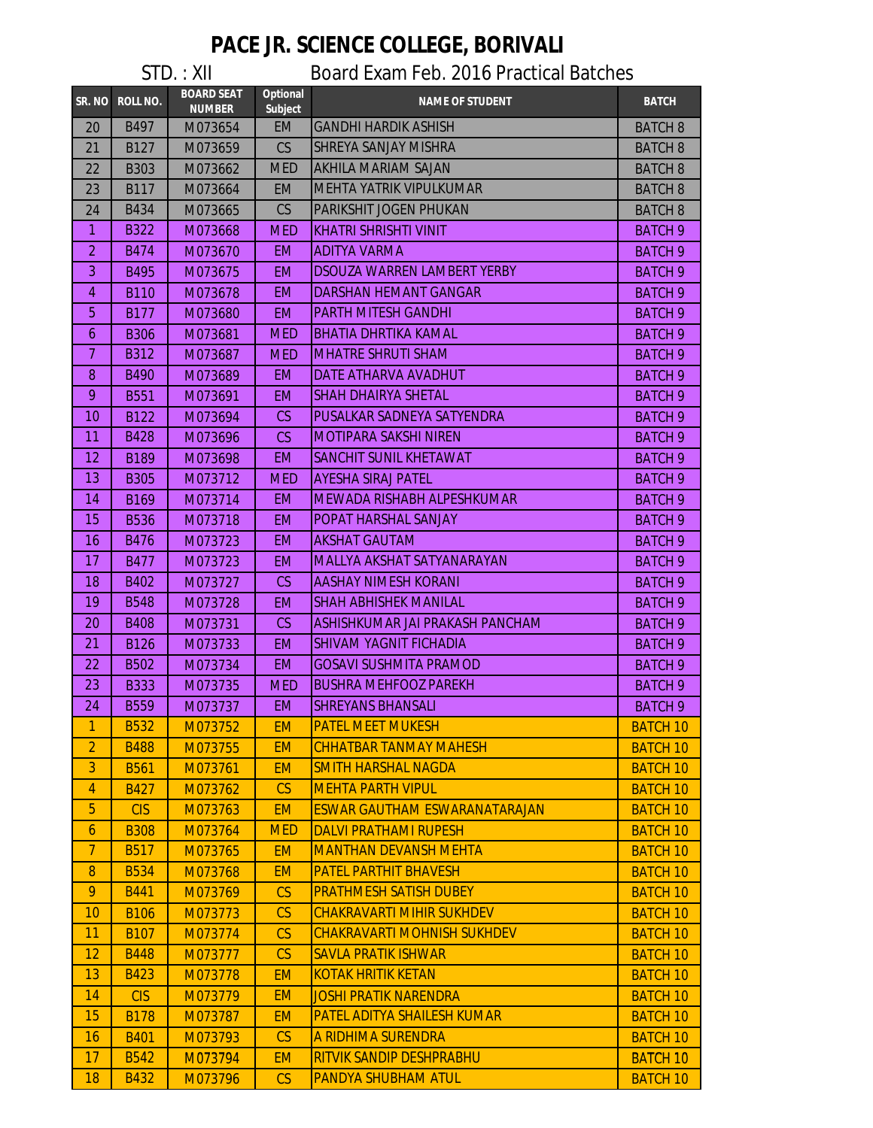| SR. NO         | <b>ROLL NO.</b> | <b>BOARD SEAT</b> | <b>Optional</b> | <b>NAME OF STUDENT</b>               | <b>BATCH</b>       |
|----------------|-----------------|-------------------|-----------------|--------------------------------------|--------------------|
|                |                 | <b>NUMBER</b>     | Subject         |                                      |                    |
| 20             | B497            | M073654           | <b>EM</b>       | <b>GANDHI HARDIK ASHISH</b>          | <b>BATCH 8</b>     |
| 21             | B127            | M073659           | CS              | SHREYA SANJAY MISHRA                 | <b>BATCH 8</b>     |
| 22             | <b>B303</b>     | M073662           | <b>MED</b>      | <b>AKHILA MARIAM SAJAN</b>           | <b>BATCH 8</b>     |
| 23             | <b>B117</b>     | M073664           | <b>EM</b>       | MEHTA YATRIK VIPULKUMAR              | <b>BATCH 8</b>     |
| 24             | <b>B434</b>     | M073665           | CS              | PARIKSHIT JOGEN PHUKAN               | <b>BATCH 8</b>     |
| $\mathbf{1}$   | <b>B322</b>     | M073668           | <b>MED</b>      | <b>KHATRI SHRISHTI VINIT</b>         | <b>BATCH 9</b>     |
| $\overline{2}$ | <b>B474</b>     | M073670           | <b>EM</b>       | <b>ADITYA VARMA</b>                  | <b>BATCH 9</b>     |
| 3              | <b>B495</b>     | M073675           | <b>EM</b>       | <b>DSOUZA WARREN LAMBERT YERBY</b>   | <b>BATCH 9</b>     |
| $\overline{4}$ | <b>B110</b>     | M073678           | <b>EM</b>       | DARSHAN HEMANT GANGAR                | <b>BATCH 9</b>     |
| 5              | <b>B177</b>     | M073680           | <b>EM</b>       | <b>PARTH MITESH GANDHI</b>           | <b>BATCH 9</b>     |
| 6              | <b>B306</b>     | M073681           | <b>MED</b>      | <b>BHATIA DHRTIKA KAMAL</b>          | <b>BATCH 9</b>     |
| $\overline{7}$ | <b>B312</b>     | M073687           | <b>MED</b>      | <b>MHATRE SHRUTI SHAM</b>            | <b>BATCH 9</b>     |
| 8              | <b>B490</b>     | M073689           | <b>EM</b>       | DATE ATHARVA AVADHUT                 | BATCH <sub>9</sub> |
| 9              | <b>B551</b>     | M073691           | <b>EM</b>       | <b>SHAH DHAIRYA SHETAL</b>           | <b>BATCH 9</b>     |
| 10             | <b>B122</b>     | M073694           | CS              | PUSALKAR SADNEYA SATYENDRA           | <b>BATCH 9</b>     |
| 11             | <b>B428</b>     | M073696           | CS              | <b>MOTIPARA SAKSHI NIREN</b>         | <b>BATCH 9</b>     |
| 12             | <b>B189</b>     | M073698           | <b>EM</b>       | <b>SANCHIT SUNIL KHETAWAT</b>        | <b>BATCH 9</b>     |
| 13             | <b>B305</b>     | M073712           | <b>MED</b>      | <b>AYESHA SIRAJ PATEL</b>            | <b>BATCH 9</b>     |
| 14             | B169            | M073714           | <b>EM</b>       | MEWADA RISHABH ALPESHKUMAR           | <b>BATCH 9</b>     |
| 15             | <b>B536</b>     | M073718           | <b>EM</b>       | <b>POPAT HARSHAL SANJAY</b>          | <b>BATCH 9</b>     |
| 16             | <b>B476</b>     | M073723           | <b>EM</b>       | <b>AKSHAT GAUTAM</b>                 | <b>BATCH 9</b>     |
| 17             | <b>B477</b>     | M073723           | <b>EM</b>       | MALLYA AKSHAT SATYANARAYAN           | <b>BATCH 9</b>     |
| 18             | <b>B402</b>     | M073727           | CS              | <b>AASHAY NIMESH KORANI</b>          | <b>BATCH 9</b>     |
| 19             | <b>B548</b>     | M073728           | <b>EM</b>       | <b>SHAH ABHISHEK MANILAL</b>         | <b>BATCH 9</b>     |
| 20             | <b>B408</b>     | M073731           | CS              | ASHISHKUMAR JAI PRAKASH PANCHAM      | BATCH <sub>9</sub> |
| 21             | <b>B126</b>     | M073733           | <b>EM</b>       | <b>SHIVAM YAGNIT FICHADIA</b>        | <b>BATCH 9</b>     |
| 22             | <b>B502</b>     | M073734           | <b>EM</b>       | <b>GOSAVI SUSHMITA PRAMOD</b>        | <b>BATCH 9</b>     |
| 23             | <b>B333</b>     | M073735           | <b>MED</b>      | <b>BUSHRA MEHFOOZ PAREKH</b>         | <b>BATCH 9</b>     |
| 24             | <b>B559</b>     | M073737           | <b>EM</b>       | <b>SHREYANS BHANSALI</b>             | <b>BATCH 9</b>     |
| $\mathbf{1}$   | <b>B532</b>     | M073752           | <b>EM</b>       | <b>PATEL MEET MUKESH</b>             | <b>BATCH 10</b>    |
| $\overline{2}$ | <b>B488</b>     | M073755           | <b>EM</b>       | <b>CHHATBAR TANMAY MAHESH</b>        | <b>BATCH 10</b>    |
| $\overline{3}$ | <b>B561</b>     | M073761           | <b>EM</b>       | <b>SMITH HARSHAL NAGDA</b>           | <b>BATCH 10</b>    |
| 4              | <b>B427</b>     | M073762           | CS              | <b>MEHTA PARTH VIPUL</b>             | <b>BATCH 10</b>    |
| 5              | <b>CIS</b>      | M073763           | <b>EM</b>       | <b>ESWAR GAUTHAM ESWARANATARAJAN</b> | <b>BATCH 10</b>    |
| 6              | <b>B308</b>     | M073764           | <b>MED</b>      | <b>DALVI PRATHAMI RUPESH</b>         | <b>BATCH 10</b>    |
| $\overline{7}$ | <b>B517</b>     | M073765           | <b>EM</b>       | <b>MANTHAN DEVANSH MEHTA</b>         | <b>BATCH 10</b>    |
| 8              | <b>B534</b>     | M073768           | <b>EM</b>       | <b>PATEL PARTHIT BHAVESH</b>         | <b>BATCH 10</b>    |
| 9              | <b>B441</b>     | M073769           | CS              | <b>PRATHMESH SATISH DUBEY</b>        | <b>BATCH 10</b>    |
| 10             | <b>B106</b>     | M073773           | CS              | <b>CHAKRAVARTI MIHIR SUKHDEV</b>     | <b>BATCH 10</b>    |
| 11             | <b>B107</b>     | M073774           | CS              | CHAKRAVARTI MOHNISH SUKHDEV          | <b>BATCH 10</b>    |
| 12             | <b>B448</b>     | M073777           | CS              | <b>SAVLA PRATIK ISHWAR</b>           | <b>BATCH 10</b>    |
| 13             | <b>B423</b>     | M073778           | <b>EM</b>       | KOTAK HRITIK KETAN                   | <b>BATCH 10</b>    |
| 14             | <b>CIS</b>      | M073779           | <b>EM</b>       | <b>JOSHI PRATIK NARENDRA</b>         | <b>BATCH 10</b>    |
| 15             | <b>B178</b>     | M073787           | <b>EM</b>       | <b>PATEL ADITYA SHAILESH KUMAR</b>   | <b>BATCH 10</b>    |
| 16             | <b>B401</b>     | M073793           | CS              | A RIDHIMA SURENDRA                   | <b>BATCH 10</b>    |
| 17             | <b>B542</b>     | M073794           | <b>EM</b>       | RITVIK SANDIP DESHPRABHU             | <b>BATCH 10</b>    |
| 18             | <b>B432</b>     | M073796           | <sub>CS</sub>   | <b>PANDYA SHUBHAM ATUL</b>           | <b>BATCH 10</b>    |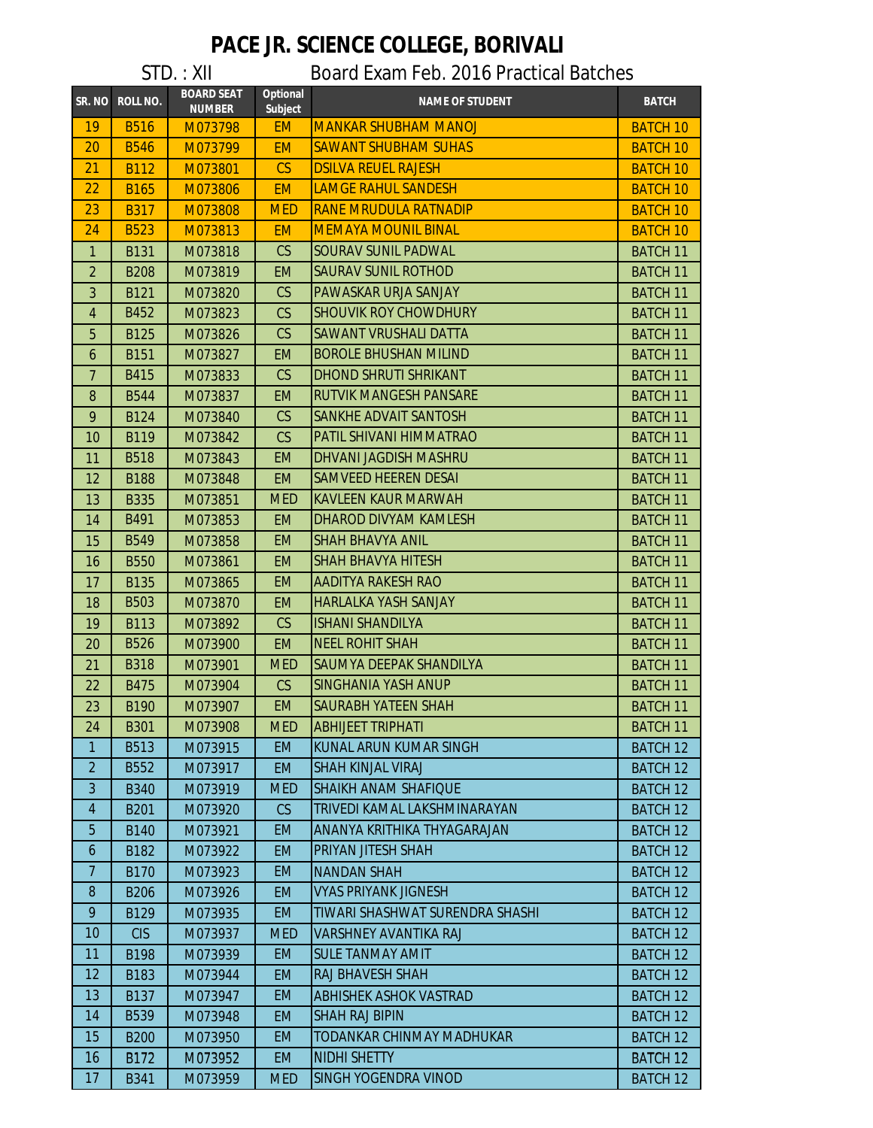| SR. NO           | <b>ROLL NO.</b> | <b>BOARD SEAT</b> | <b>Optional</b> | <b>NAME OF STUDENT</b>          | <b>BATCH</b>    |
|------------------|-----------------|-------------------|-----------------|---------------------------------|-----------------|
|                  |                 | <b>NUMBER</b>     | Subject         | <b>MANKAR SHUBHAM MANOJ</b>     |                 |
| 19               | <b>B516</b>     | M073798           | <b>EM</b>       |                                 | <b>BATCH 10</b> |
| 20               | <b>B546</b>     | M073799           | <b>EM</b>       | <b>SAWANT SHUBHAM SUHAS</b>     | <b>BATCH 10</b> |
| 21               | <b>B112</b>     | M073801           | CS              | <b>DSILVA REUEL RAJESH</b>      | <b>BATCH 10</b> |
| 22               | <b>B165</b>     | M073806           | <b>EM</b>       | <b>LAMGE RAHUL SANDESH</b>      | <b>BATCH 10</b> |
| 23               | <b>B317</b>     | M073808           | <b>MED</b>      | <b>RANE MRUDULA RATNADIP</b>    | <b>BATCH 10</b> |
| 24               | <b>B523</b>     | M073813           | <b>EM</b>       | <b>MEMAYA MOUNIL BINAL</b>      | <b>BATCH 10</b> |
| $\mathbf{1}$     | <b>B131</b>     | M073818           | CS              | <b>SOURAV SUNIL PADWAL</b>      | <b>BATCH 11</b> |
| $\overline{2}$   | <b>B208</b>     | M073819           | <b>EM</b>       | <b>SAURAV SUNIL ROTHOD</b>      | <b>BATCH 11</b> |
| $\overline{3}$   | <b>B121</b>     | M073820           | CS              | PAWASKAR URJA SANJAY            | <b>BATCH 11</b> |
| $\overline{4}$   | <b>B452</b>     | M073823           | CS              | <b>SHOUVIK ROY CHOWDHURY</b>    | <b>BATCH 11</b> |
| 5                | <b>B125</b>     | M073826           | CS              | <b>SAWANT VRUSHALI DATTA</b>    | <b>BATCH 11</b> |
| $\boldsymbol{6}$ | <b>B151</b>     | M073827           | <b>EM</b>       | <b>BOROLE BHUSHAN MILIND</b>    | <b>BATCH 11</b> |
| $\overline{7}$   | <b>B415</b>     | M073833           | CS              | <b>DHOND SHRUTI SHRIKANT</b>    | <b>BATCH 11</b> |
| $\, 8$           | <b>B544</b>     | M073837           | <b>EM</b>       | <b>RUTVIK MANGESH PANSARE</b>   | <b>BATCH 11</b> |
| 9                | <b>B124</b>     | M073840           | CS              | SANKHE ADVAIT SANTOSH           | <b>BATCH 11</b> |
| 10               | <b>B119</b>     | M073842           | CS              | PATIL SHIVANI HIMMATRAO         | <b>BATCH 11</b> |
| 11               | <b>B518</b>     | M073843           | <b>EM</b>       | <b>DHVANI JAGDISH MASHRU</b>    | <b>BATCH 11</b> |
| 12               | <b>B188</b>     | M073848           | <b>EM</b>       | <b>SAMVEED HEEREN DESAI</b>     | <b>BATCH 11</b> |
| 13               | <b>B335</b>     | M073851           | <b>MED</b>      | <b>KAVLEEN KAUR MARWAH</b>      | <b>BATCH 11</b> |
| 14               | B491            | M073853           | <b>EM</b>       | <b>DHAROD DIVYAM KAMLESH</b>    | <b>BATCH 11</b> |
| 15               | <b>B549</b>     | M073858           | <b>EM</b>       | <b>SHAH BHAVYA ANIL</b>         | <b>BATCH 11</b> |
| 16               | <b>B550</b>     | M073861           | <b>EM</b>       | <b>SHAH BHAVYA HITESH</b>       | <b>BATCH 11</b> |
| 17               | <b>B135</b>     | M073865           | <b>EM</b>       | <b>AADITYA RAKESH RAO</b>       | <b>BATCH 11</b> |
| 18               | <b>B503</b>     | M073870           | <b>EM</b>       | <b>HARLALKA YASH SANJAY</b>     | <b>BATCH 11</b> |
| 19               | <b>B113</b>     | M073892           | CS              | <b>ISHANI SHANDILYA</b>         | <b>BATCH 11</b> |
| 20               | <b>B526</b>     | M073900           | <b>EM</b>       | <b>NEEL ROHIT SHAH</b>          | <b>BATCH 11</b> |
| 21               | <b>B318</b>     | M073901           | <b>MED</b>      | <b>SAUMYA DEEPAK SHANDILYA</b>  | <b>BATCH 11</b> |
| 22               | <b>B475</b>     | M073904           | <b>CS</b>       | SINGHANIA YASH ANUP             | <b>BATCH 11</b> |
| 23               | <b>B190</b>     | M073907           | <b>EM</b>       | <b>SAURABH YATEEN SHAH</b>      | <b>BATCH 11</b> |
| 24               | <b>B301</b>     | M073908           | <b>MED</b>      | <b>ABHIJEET TRIPHATI</b>        | <b>BATCH 11</b> |
| $\mathbf{1}$     | <b>B513</b>     | M073915           | EM.             | KUNAL ARUN KUMAR SINGH          | <b>BATCH 12</b> |
| $\overline{2}$   | <b>B552</b>     | M073917           | <b>EM</b>       | <b>SHAH KINJAL VIRAJ</b>        | <b>BATCH 12</b> |
| 3                | <b>B340</b>     | M073919           | <b>MED</b>      | ISHAIKH ANAM SHAFIQUE           | <b>BATCH 12</b> |
| 4                | <b>B201</b>     | M073920           | CS              | TRIVEDI KAMAL LAKSHMINARAYAN    | <b>BATCH 12</b> |
| 5                | <b>B140</b>     | M073921           | <b>EM</b>       | ANANYA KRITHIKA THYAGARAJAN     | <b>BATCH 12</b> |
| 6                | B182            | M073922           | <b>EM</b>       | PRIYAN JITESH SHAH              | <b>BATCH 12</b> |
| $\overline{7}$   | <b>B170</b>     | M073923           | <b>EM</b>       | <b>NANDAN SHAH</b>              | <b>BATCH 12</b> |
| $\, 8$           | <b>B206</b>     | M073926           | <b>EM</b>       | <b>VYAS PRIYANK JIGNESH</b>     | <b>BATCH 12</b> |
| 9                | B129            | M073935           | EM.             | TIWARI SHASHWAT SURENDRA SHASHI | <b>BATCH 12</b> |
| 10               | <b>CIS</b>      | M073937           | <b>MED</b>      | VARSHNEY AVANTIKA RAJ           | <b>BATCH 12</b> |
| 11               | <b>B198</b>     | M073939           | <b>EM</b>       | <b>SULE TANMAY AMIT</b>         | <b>BATCH 12</b> |
| 12               | B183            | M073944           | <b>EM</b>       | RAJ BHAVESH SHAH                | <b>BATCH 12</b> |
| 13               | <b>B137</b>     | M073947           | <b>EM</b>       | <b>ABHISHEK ASHOK VASTRAD</b>   | <b>BATCH 12</b> |
| 14               | B539            | M073948           | <b>EM</b>       | <b>SHAH RAJ BIPIN</b>           | <b>BATCH 12</b> |
| 15               | <b>B200</b>     | M073950           | <b>EM</b>       | TODANKAR CHINMAY MADHUKAR       | BATCH 12        |
| 16               | B172            | M073952           | <b>EM</b>       | <b>NIDHI SHETTY</b>             | <b>BATCH 12</b> |
| 17               | <b>B341</b>     | M073959           | <b>MED</b>      | SINGH YOGENDRA VINOD            | <b>BATCH 12</b> |